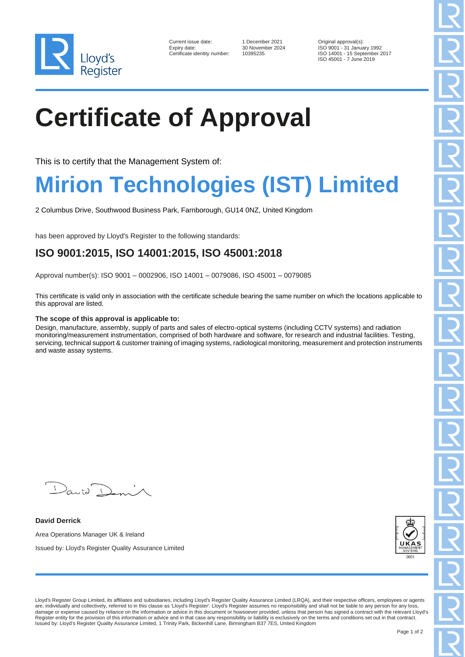

| Current issue date:        |
|----------------------------|
| Expiry date:               |
| Certificate identity numbe |

er: 10395235

1 December 2021 Original approval(s):<br>30 November 2024 ISO 9001 - 31 Januar ISO 9001 - 31 January 1992 ISO 14001 - 15 September 2017 ISO 45001 - 7 June 2019

# **Certificate of Approval**

This is to certify that the Management System of:

### **Mirion Technologies (IST) Limited**

2 Columbus Drive, Southwood Business Park, Farnborough, GU14 0NZ, United Kingdom

has been approved by Lloyd's Register to the following standards:

### **ISO 9001:2015, ISO 14001:2015, ISO 45001:2018**

Approval number(s): ISO 9001 – 0002906, ISO 14001 – 0079086, ISO 45001 – 0079085

This certificate is valid only in association with the certificate schedule bearing the same number on which the locations applicable to this approval are listed.

#### **The scope of this approval is applicable to:**

Design, manufacture, assembly, supply of parts and sales of electro-optical systems (including CCTV systems) and radiation monitoring/measurement instrumentation, comprised of both hardware and software, for research and industrial facilities. Testing, servicing, technical support & customer training of imaging systems, radiological monitoring, measurement and protection instruments and waste assay systems.

 $D_{\alpha\alpha i} \bigcap_{\alpha\beta}$ 

**David Derrick** Area Operations Manager UK & Ireland Issued by: Lloyd's Register Quality Assurance Limited



Lloyd's Register Group Limited, its affiliates and subsidiaries, including Lloyd's Register Quality Assurance Limited (LRQA), and their respective officers, employees or agents are, individually and collectively, referred to in this clause as 'Lloyd's Register'. Lloyd's Register assumes no responsibility and shall not be liable to any person for any loss, damage or expense caused by reliance on the information or advice in this document or howsoever provided, unless that person has signed a contract with the relevant Lloyd's<br>Register entity for the provision of this informa Issued by: Lloyd's Register Quality Assurance Limited, 1 Trinity Park, Bickenhill Lane, Birmingham B37 7ES, United Kingdom